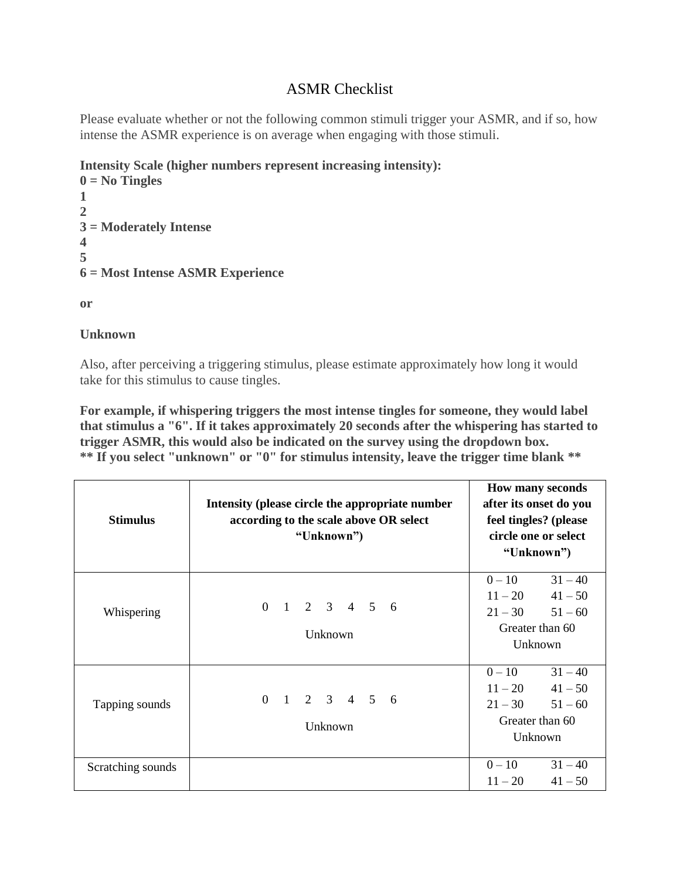## ASMR Checklist

Please evaluate whether or not the following common stimuli trigger your ASMR, and if so, how intense the ASMR experience is on average when engaging with those stimuli.

**Intensity Scale (higher numbers represent increasing intensity):**

```
0 = No Tingles
1
2
3 = Moderately Intense
4
5
6 = Most Intense ASMR Experience
```
**or**

**Unknown**

Also, after perceiving a triggering stimulus, please estimate approximately how long it would take for this stimulus to cause tingles.

**For example, if whispering triggers the most intense tingles for someone, they would label that stimulus a "6". If it takes approximately 20 seconds after the whispering has started to trigger ASMR, this would also be indicated on the survey using the dropdown box. \*\* If you select "unknown" or "0" for stimulus intensity, leave the trigger time blank \*\***

| <b>Stimulus</b>   | Intensity (please circle the appropriate number<br>according to the scale above OR select<br>"Unknown") | <b>How many seconds</b><br>after its onset do you<br>feel tingles? (please<br>circle one or select<br>"Unknown") |
|-------------------|---------------------------------------------------------------------------------------------------------|------------------------------------------------------------------------------------------------------------------|
| Whispering        | $0 \t1 \t2 \t3 \t4 \t5 \t6$<br>Unknown                                                                  | $0 - 10$<br>$31 - 40$<br>$11 - 20$ $41 - 50$<br>$21 - 30$ $51 - 60$<br>Greater than 60<br>Unknown                |
| Tapping sounds    | $0 \t1 \t2 \t3 \t4 \t5 \t6$<br>Unknown                                                                  | $31 - 40$<br>$0 - 10$<br>$11 - 20$ $41 - 50$<br>$21 - 30$ $51 - 60$<br>Greater than 60<br>Unknown                |
| Scratching sounds |                                                                                                         | $31 - 40$<br>$0 - 10$<br>$41 - 50$<br>$11 - 20$                                                                  |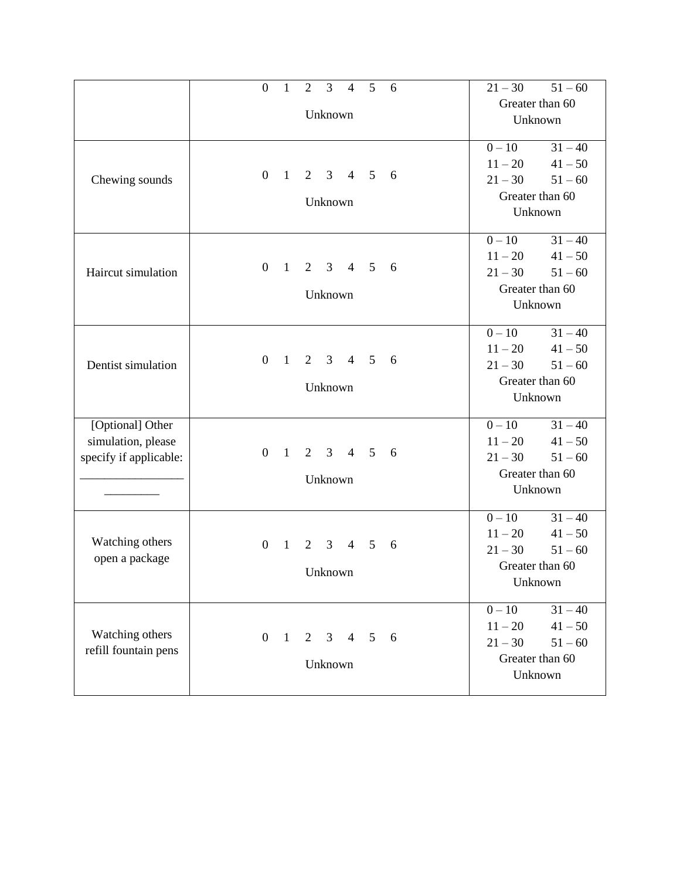|                                                                  | 3<br>5<br>$\overline{2}$<br>$\mathbf{0}$<br>$\overline{4}$<br>1<br>6<br>Unknown                           | $21 - 30$<br>$51 - 60$<br>Greater than 60<br>Unknown                                                    |
|------------------------------------------------------------------|-----------------------------------------------------------------------------------------------------------|---------------------------------------------------------------------------------------------------------|
| Chewing sounds                                                   | 3 <sup>7</sup><br>$\overline{0}$<br>$\mathbf{1}$<br>2<br>$\overline{4}$<br>5<br>6<br>Unknown              | $0 - 10$<br>$31 - 40$<br>$41 - 50$<br>$11 - 20$<br>$21 - 30$<br>$51 - 60$<br>Greater than 60<br>Unknown |
| Haircut simulation                                               | $\overline{0}$<br>$\mathbf{1}$<br>$\overline{2}$<br>3<br>$\overline{4}$<br>5<br>6<br>Unknown              | $0 - 10$<br>$31 - 40$<br>$11 - 20$<br>$41 - 50$<br>$51 - 60$<br>$21 - 30$<br>Greater than 60<br>Unknown |
| Dentist simulation                                               | $\mathbf{1}$<br>$\overline{2}$<br>$\mathfrak{Z}$<br>5<br>$\overline{0}$<br>$\overline{4}$<br>6<br>Unknown | $0 - 10$<br>$31 - 40$<br>$11 - 20$<br>$41 - 50$<br>$21 - 30$<br>$51 - 60$<br>Greater than 60<br>Unknown |
| [Optional] Other<br>simulation, please<br>specify if applicable: | $\mathbf{1}$<br>2<br>3<br>$\overline{0}$<br>$\overline{4}$<br>5<br>6<br>Unknown                           | $0 - 10$<br>$31 - 40$<br>$11 - 20$<br>$41 - 50$<br>$51 - 60$<br>$21 - 30$<br>Greater than 60<br>Unknown |
| Watching others<br>open a package                                | $\mathbf{1}$<br>3<br>5<br>$\mathbf{0}$<br>2<br>$\overline{4}$<br>6<br>Unknown                             | $0 - 10$<br>$31 - 40$<br>$11 - 20$<br>$41 - 50$<br>$51 - 60$<br>$21 - 30$<br>Greater than 60<br>Unknown |
| Watching others<br>refill fountain pens                          | $0 \t1 \t2 \t3 \t4 \t5 \t6$<br>Unknown                                                                    | $0 - 10$<br>$31 - 40$<br>$41 - 50$<br>$11 - 20$<br>$51 - 60$<br>$21 - 30$<br>Greater than 60<br>Unknown |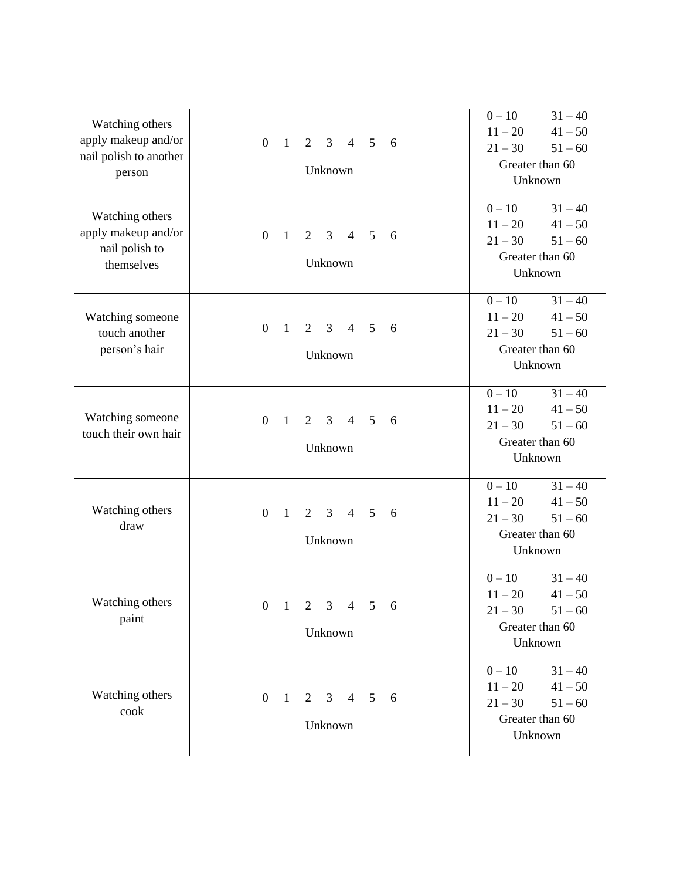| Watching others<br>apply makeup and/or<br>nail polish to another<br>person | $\overline{0}$<br>$\mathbf{1}$<br>2<br>3<br>5<br>$\overline{4}$<br>6<br>Unknown                           | $0 - 10$<br>$31 - 40$<br>$41 - 50$<br>$11 - 20$<br>$21 - 30$<br>$51 - 60$<br>Greater than 60<br>Unknown |
|----------------------------------------------------------------------------|-----------------------------------------------------------------------------------------------------------|---------------------------------------------------------------------------------------------------------|
| Watching others<br>apply makeup and/or<br>nail polish to<br>themselves     | 3<br>$\overline{0}$<br>1<br>2<br>$\overline{4}$<br>5<br>6<br>Unknown                                      | $0 - 10$<br>$31 - 40$<br>$41 - 50$<br>$11 - 20$<br>$51 - 60$<br>$21 - 30$<br>Greater than 60<br>Unknown |
| Watching someone<br>touch another<br>person's hair                         | $\overline{0}$<br>$\mathbf{1}$<br>$\overline{2}$<br>$\mathfrak{Z}$<br>$\overline{4}$<br>5<br>6<br>Unknown | $0 - 10$<br>$31 - 40$<br>$41 - 50$<br>$11 - 20$<br>$21 - 30$<br>$51 - 60$<br>Greater than 60<br>Unknown |
| Watching someone<br>touch their own hair                                   | $\overline{2}$<br>$\mathfrak{Z}$<br>$\theta$<br>$\mathbf{1}$<br>$\overline{4}$<br>5<br>6<br>Unknown       | $0 - 10$<br>$31 - 40$<br>$41 - 50$<br>$11 - 20$<br>$51 - 60$<br>$21 - 30$<br>Greater than 60<br>Unknown |
| Watching others<br>draw                                                    | 2<br>$\overline{3}$<br>$\theta$<br>$\overline{1}$<br>$\overline{4}$<br>$\overline{5}$<br>6<br>Unknown     | $0 - 10$<br>$31 - 40$<br>$41 - 50$<br>$11 - 20$<br>$51 - 60$<br>$21 - 30$<br>Greater than 60<br>Unknown |
| Watching others<br>paint                                                   | $0 \t1 \t2 \t3 \t4 \t5 \t6$<br>Unknown                                                                    | $0 - 10$<br>$31 - 40$<br>$11 - 20$<br>$41 - 50$<br>$21 - 30$<br>$51 - 60$<br>Greater than 60<br>Unknown |
| Watching others<br>cook                                                    | $\overline{0}$<br>$\overline{1}$<br>$2 \t3 \t4 \t5 \t6$<br>Unknown                                        | $0 - 10$<br>$31 - 40$<br>$41 - 50$<br>$11 - 20$<br>$51 - 60$<br>$21 - 30$<br>Greater than 60<br>Unknown |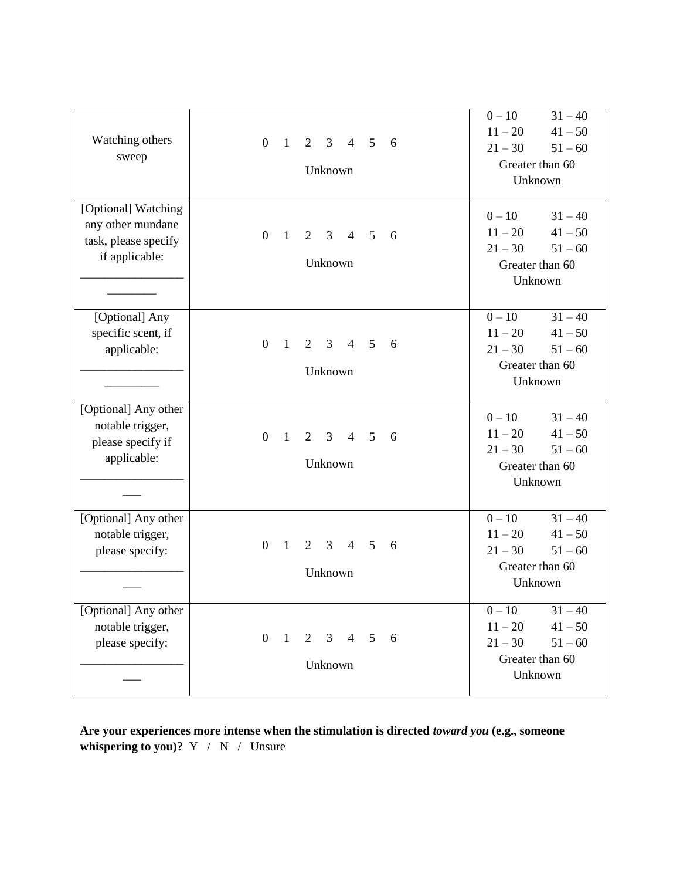| Watching others<br>sweep                                                           | $\overline{0}$<br>$\mathbf{1}$<br>3<br>5<br>2<br>$\overline{4}$<br>6<br>Unknown                | $0 - 10$<br>$31 - 40$<br>$41 - 50$<br>$11 - 20$<br>$51 - 60$<br>$21 - 30$<br>Greater than 60<br>Unknown |
|------------------------------------------------------------------------------------|------------------------------------------------------------------------------------------------|---------------------------------------------------------------------------------------------------------|
| [Optional] Watching<br>any other mundane<br>task, please specify<br>if applicable: | 3<br>$\Omega$<br>$\mathbf{1}$<br>2<br>$\overline{4}$<br>5<br>6<br>Unknown                      | $0 - 10$<br>$31 - 40$<br>$41 - 50$<br>$11 - 20$<br>$51 - 60$<br>$21 - 30$<br>Greater than 60<br>Unknown |
| [Optional] Any<br>specific scent, if<br>applicable:                                | $\theta$<br>$\mathbf{1}$<br>2<br>3<br>$\overline{4}$<br>5<br>6<br>Unknown                      | $0 - 10$<br>$31 - 40$<br>$41 - 50$<br>$11 - 20$<br>$51 - 60$<br>$21 - 30$<br>Greater than 60<br>Unknown |
| [Optional] Any other<br>notable trigger,<br>please specify if<br>applicable:       | 3<br>$\overline{0}$<br>$\mathbf{1}$<br>2<br>$\overline{4}$<br>5<br>6<br>Unknown                | $0 - 10$<br>$31 - 40$<br>$41 - 50$<br>$11 - 20$<br>$51 - 60$<br>$21 - 30$<br>Greater than 60<br>Unknown |
| [Optional] Any other<br>notable trigger,<br>please specify:                        | $\mathbf{1}$<br>2<br>3<br>$\overline{0}$<br>$\overline{4}$<br>5<br>6<br>Unknown                | $0 - 10$<br>$31 - 40$<br>$41 - 50$<br>$11 - 20$<br>$51 - 60$<br>$21 - 30$<br>Greater than 60<br>Unknown |
| [Optional] Any other<br>notable trigger,<br>please specify:                        | $\overline{0}$<br>$\overline{1}$<br>$\overline{2}$<br>3<br>5<br>$\overline{4}$<br>6<br>Unknown | $31 - 40$<br>$0 - 10$<br>$11 - 20$<br>$41 - 50$<br>$21 - 30$<br>$51 - 60$<br>Greater than 60<br>Unknown |

**Are your experiences more intense when the stimulation is directed** *toward you* **(e.g., someone whispering to you)?** Y / N / Unsure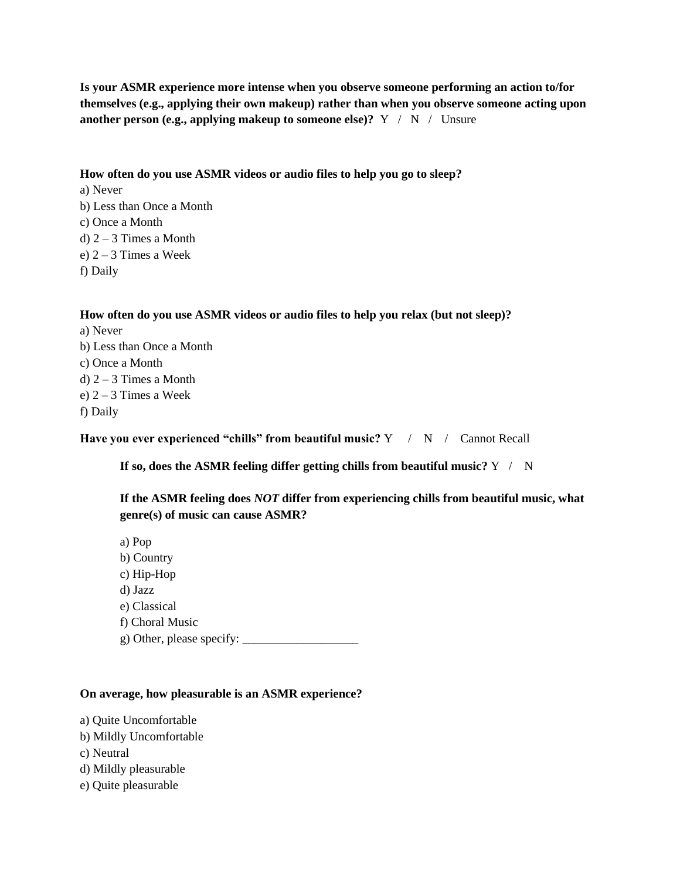**Is your ASMR experience more intense when you observe someone performing an action to/for themselves (e.g., applying their own makeup) rather than when you observe someone acting upon another person (e.g., applying makeup to someone else)?** Y / N / Unsure

## **How often do you use ASMR videos or audio files to help you go to sleep?**

a) Never b) Less than Once a Month c) Once a Month d)  $2 - 3$  Times a Month e)  $2 - 3$  Times a Week f) Daily

**How often do you use ASMR videos or audio files to help you relax (but not sleep)?**

a) Never b) Less than Once a Month c) Once a Month d)  $2 - 3$  Times a Month e)  $2 - 3$  Times a Week f) Daily

**Have you ever experienced "chills" from beautiful music?**  $Y / N / C$  Cannot Recall

**If so, does the ASMR feeling differ getting chills from beautiful music?** Y / N

**If the ASMR feeling does** *NOT* **differ from experiencing chills from beautiful music, what genre(s) of music can cause ASMR?**

a) Pop b) Country c) Hip-Hop d) Jazz e) Classical f) Choral Music g) Other, please specify: \_\_\_\_\_\_\_\_\_\_\_\_\_\_\_\_\_\_\_

## **On average, how pleasurable is an ASMR experience?**

a) Quite Uncomfortable

- b) Mildly Uncomfortable
- c) Neutral
- d) Mildly pleasurable
- e) Quite pleasurable